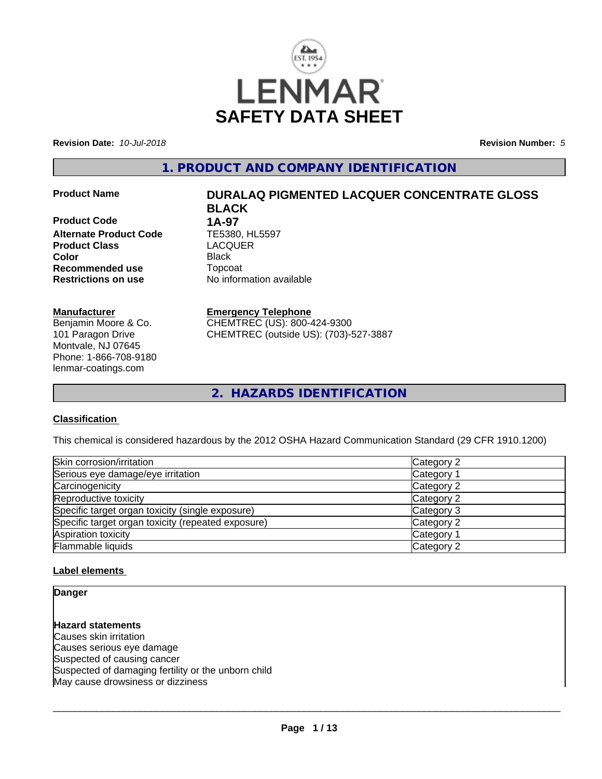

**Revision Date:** *10-Jul-2018* **Revision Number:** *5*

**1. PRODUCT AND COMPANY IDENTIFICATION**

**Product Code 1A-97**<br>**Alternate Product Code 1E5380. HL5597 Alternate Product Code TE5380, HL<br><b>Product Class** LACQUER **Product Class Color** Black **Recommended use** Topcoat **Restrictions on use** No information available

### **Manufacturer**

Benjamin Moore & Co. 101 Paragon Drive Montvale, NJ 07645 Phone: 1-866-708-9180 lenmar-coatings.com

# **Product Name DURALAQ PIGMENTED LACQUER CONCENTRATE GLOSS BLACK**

#### **Emergency Telephone**

CHEMTREC (US): 800-424-9300 CHEMTREC (outside US): (703)-527-3887

**2. HAZARDS IDENTIFICATION**

# **Classification**

This chemical is considered hazardous by the 2012 OSHA Hazard Communication Standard (29 CFR 1910.1200)

| Skin corrosion/irritation                          | Category 2 |
|----------------------------------------------------|------------|
| Serious eye damage/eye irritation                  | Category 1 |
| Carcinogenicity                                    | Category 2 |
| Reproductive toxicity                              | Category 2 |
| Specific target organ toxicity (single exposure)   | Category 3 |
| Specific target organ toxicity (repeated exposure) | Category 2 |
| Aspiration toxicity                                | Category 1 |
| Flammable liquids                                  | Category 2 |

#### **Label elements**

**Danger**

**Hazard statements** Causes skin irritation Causes serious eye damage Suspected of causing cancer Suspected of damaging fertility or the unborn child May cause drowsiness or dizziness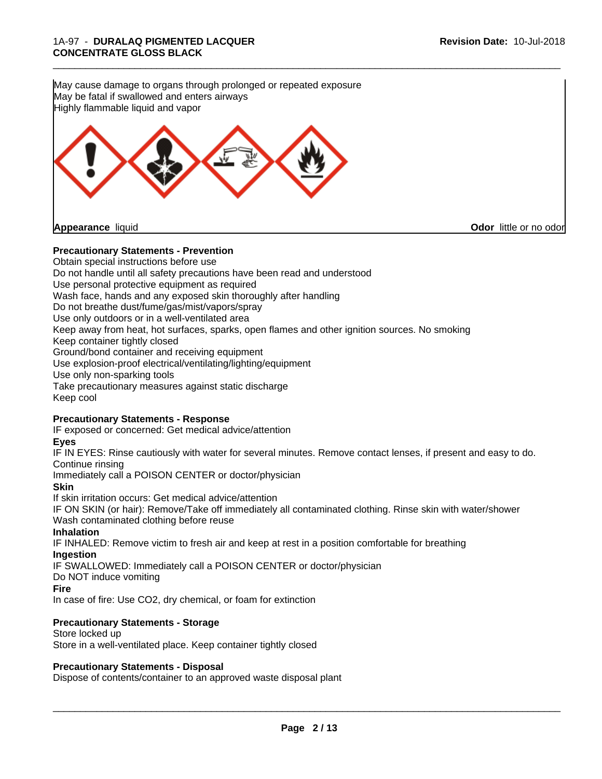\_\_\_\_\_\_\_\_\_\_\_\_\_\_\_\_\_\_\_\_\_\_\_\_\_\_\_\_\_\_\_\_\_\_\_\_\_\_\_\_\_\_\_\_\_\_\_\_\_\_\_\_\_\_\_\_\_\_\_\_\_\_\_\_\_\_\_\_\_\_\_\_\_\_\_\_\_\_\_\_\_\_\_\_\_\_\_\_\_\_\_\_\_ **Precautionary Statements - Prevention** Obtain special instructions before use Do not handle until all safety precautions have been read and understood Use personal protective equipment as required Wash face, hands and any exposed skin thoroughly after handling Do not breathe dust/fume/gas/mist/vapors/spray Use only outdoors or in a well-ventilated area Keep away from heat, hot surfaces, sparks, open flames and other ignition sources. No smoking Keep container tightly closed Ground/bond container and receiving equipment Use explosion-proof electrical/ventilating/lighting/equipment Use only non-sparking tools Take precautionary measures against static discharge Keep cool **Precautionary Statements - Response** IF exposed or concerned: Get medical advice/attention **Eyes** IF IN EYES: Rinse cautiously with water for several minutes. Remove contact lenses, if present and easy to do. Continue rinsing Immediately call a POISON CENTER or doctor/physician **Skin** If skin irritation occurs: Get medical advice/attention IF ON SKIN (or hair): Remove/Take off immediately all contaminated clothing. Rinse skin with water/shower Wash contaminated clothing before reuse **Inhalation** IF INHALED: Remove victim to fresh air and keep at rest in a position comfortable for breathing **Ingestion** May cause damage to organs through prolonged or repeated exposure May be fatal if swallowed and enters airways Highly flammable liquid and vapor **Appearance** liquid **Odor** little or no odor

IF SWALLOWED: Immediately call a POISON CENTER or doctor/physician

Do NOT induce vomiting

**Fire**

In case of fire: Use CO2, dry chemical, or foam for extinction

#### **Precautionary Statements - Storage**

Store locked up Store in a well-ventilated place. Keep container tightly closed

#### **Precautionary Statements - Disposal**

Dispose of contents/container to an approved waste disposal plant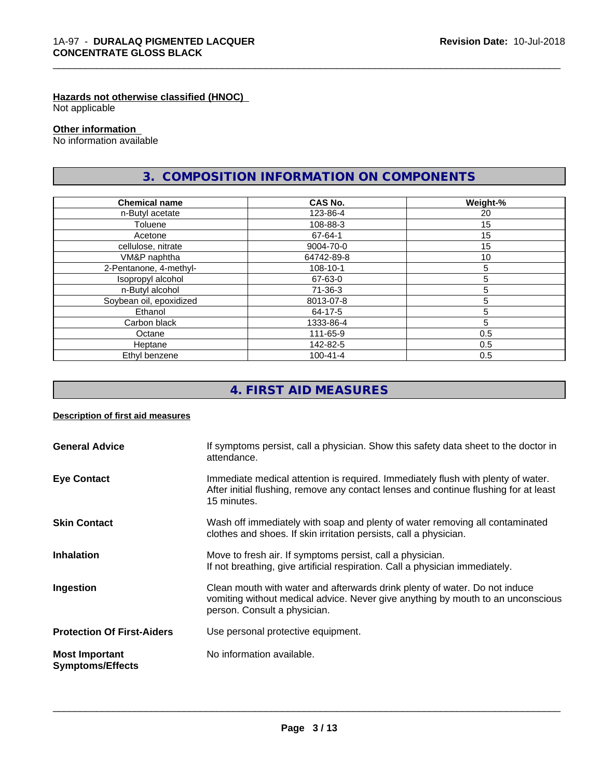### **Hazards not otherwise classified (HNOC)**

Not applicable

#### **Other information**

No information available

# **3. COMPOSITION INFORMATION ON COMPONENTS**

\_\_\_\_\_\_\_\_\_\_\_\_\_\_\_\_\_\_\_\_\_\_\_\_\_\_\_\_\_\_\_\_\_\_\_\_\_\_\_\_\_\_\_\_\_\_\_\_\_\_\_\_\_\_\_\_\_\_\_\_\_\_\_\_\_\_\_\_\_\_\_\_\_\_\_\_\_\_\_\_\_\_\_\_\_\_\_\_\_\_\_\_\_

| <b>Chemical name</b>    | <b>CAS No.</b> | Weight-% |
|-------------------------|----------------|----------|
| n-Butyl acetate         | 123-86-4       | 20       |
| Toluene                 | 108-88-3       | 15       |
| Acetone                 | 67-64-1        | 15       |
| cellulose, nitrate      | 9004-70-0      | 15       |
| VM&P naphtha            | 64742-89-8     | 10       |
| 2-Pentanone, 4-methyl-  | 108-10-1       | 5        |
| Isopropyl alcohol       | 67-63-0        | 5        |
| n-Butyl alcohol         | 71-36-3        | 5        |
| Soybean oil, epoxidized | 8013-07-8      | 5        |
| Ethanol                 | 64-17-5        | 5        |
| Carbon black            | 1333-86-4      | 5        |
| Octane                  | 111-65-9       | 0.5      |
| Heptane                 | 142-82-5       | 0.5      |
| Ethyl benzene           | $100 - 41 - 4$ | 0.5      |

# **4. FIRST AID MEASURES**

#### **Description of first aid measures**

| <b>General Advice</b>                            | If symptoms persist, call a physician. Show this safety data sheet to the doctor in<br>attendance.                                                                                            |
|--------------------------------------------------|-----------------------------------------------------------------------------------------------------------------------------------------------------------------------------------------------|
| <b>Eye Contact</b>                               | Immediate medical attention is required. Immediately flush with plenty of water.<br>After initial flushing, remove any contact lenses and continue flushing for at least<br>15 minutes.       |
| <b>Skin Contact</b>                              | Wash off immediately with soap and plenty of water removing all contaminated<br>clothes and shoes. If skin irritation persists, call a physician.                                             |
| <b>Inhalation</b>                                | Move to fresh air. If symptoms persist, call a physician.<br>If not breathing, give artificial respiration. Call a physician immediately.                                                     |
| Ingestion                                        | Clean mouth with water and afterwards drink plenty of water. Do not induce<br>vomiting without medical advice. Never give anything by mouth to an unconscious<br>person. Consult a physician. |
| <b>Protection Of First-Aiders</b>                | Use personal protective equipment.                                                                                                                                                            |
| <b>Most Important</b><br><b>Symptoms/Effects</b> | No information available.                                                                                                                                                                     |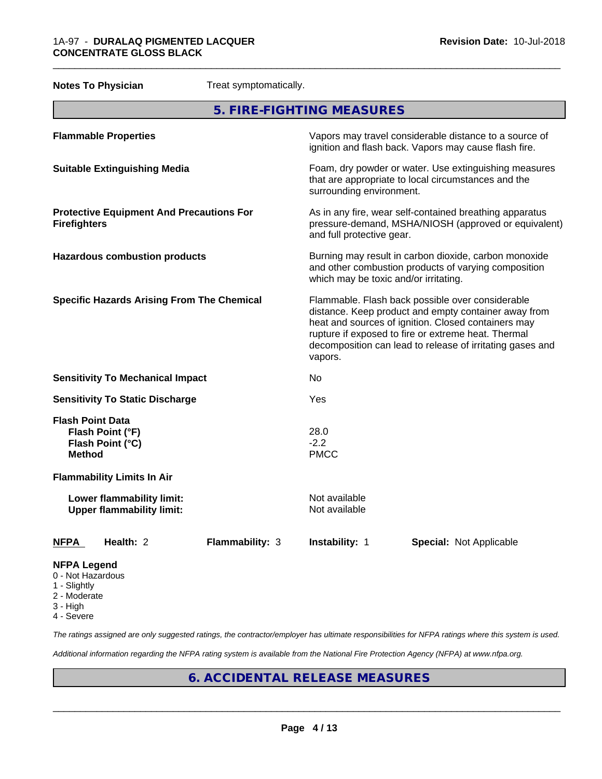| <b>Notes To Physician</b><br>Treat symptomatically.                              |                                                                                                                                                                                                                                                                                                |
|----------------------------------------------------------------------------------|------------------------------------------------------------------------------------------------------------------------------------------------------------------------------------------------------------------------------------------------------------------------------------------------|
|                                                                                  | 5. FIRE-FIGHTING MEASURES                                                                                                                                                                                                                                                                      |
| <b>Flammable Properties</b>                                                      | Vapors may travel considerable distance to a source of<br>ignition and flash back. Vapors may cause flash fire.                                                                                                                                                                                |
| <b>Suitable Extinguishing Media</b>                                              | Foam, dry powder or water. Use extinguishing measures<br>that are appropriate to local circumstances and the<br>surrounding environment.                                                                                                                                                       |
| <b>Protective Equipment And Precautions For</b><br><b>Firefighters</b>           | As in any fire, wear self-contained breathing apparatus<br>pressure-demand, MSHA/NIOSH (approved or equivalent)<br>and full protective gear.                                                                                                                                                   |
| <b>Hazardous combustion products</b>                                             | Burning may result in carbon dioxide, carbon monoxide<br>and other combustion products of varying composition<br>which may be toxic and/or irritating.                                                                                                                                         |
| <b>Specific Hazards Arising From The Chemical</b>                                | Flammable. Flash back possible over considerable<br>distance. Keep product and empty container away from<br>heat and sources of ignition. Closed containers may<br>rupture if exposed to fire or extreme heat. Thermal<br>decomposition can lead to release of irritating gases and<br>vapors. |
| <b>Sensitivity To Mechanical Impact</b>                                          | No.                                                                                                                                                                                                                                                                                            |
| <b>Sensitivity To Static Discharge</b>                                           | Yes                                                                                                                                                                                                                                                                                            |
| <b>Flash Point Data</b><br>Flash Point (°F)<br>Flash Point (°C)<br><b>Method</b> | 28.0<br>$-2.2$<br><b>PMCC</b>                                                                                                                                                                                                                                                                  |
| <b>Flammability Limits In Air</b>                                                |                                                                                                                                                                                                                                                                                                |
| Lower flammability limit:<br><b>Upper flammability limit:</b>                    | Not available<br>Not available                                                                                                                                                                                                                                                                 |
| Health: 2<br>Flammability: 3<br><b>NFPA</b>                                      | Instability: 1<br><b>Special: Not Applicable</b>                                                                                                                                                                                                                                               |
| <b>NFPA Legend</b><br>0 - Not Hazardous                                          |                                                                                                                                                                                                                                                                                                |

- 
- 1 Slightly
- 2 Moderate
- 3 High
- 4 Severe

*The ratings assigned are only suggested ratings, the contractor/employer has ultimate responsibilities for NFPA ratings where this system is used.*

*Additional information regarding the NFPA rating system is available from the National Fire Protection Agency (NFPA) at www.nfpa.org.*

# **6. ACCIDENTAL RELEASE MEASURES**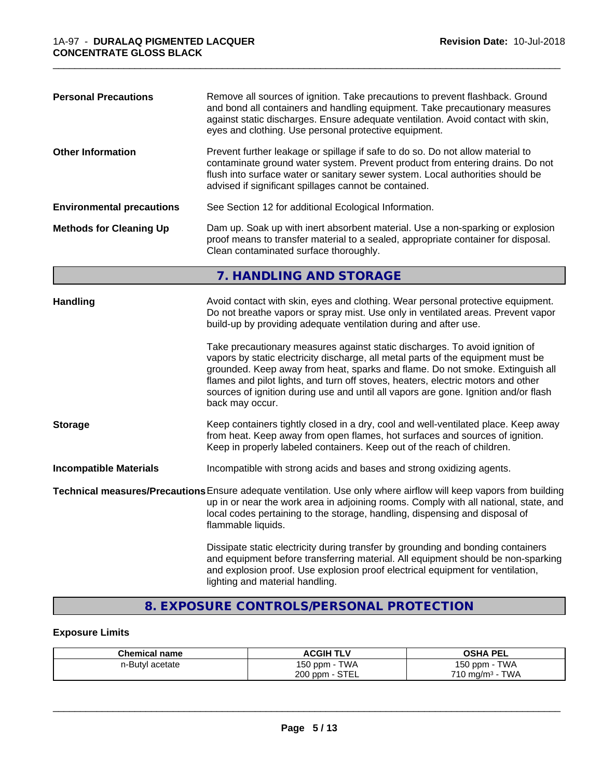| <b>Personal Precautions</b>      | Remove all sources of ignition. Take precautions to prevent flashback. Ground<br>and bond all containers and handling equipment. Take precautionary measures<br>against static discharges. Ensure adequate ventilation. Avoid contact with skin,<br>eyes and clothing. Use personal protective equipment.                                                                                                                                                                                                                                                                                                                                                                                 |
|----------------------------------|-------------------------------------------------------------------------------------------------------------------------------------------------------------------------------------------------------------------------------------------------------------------------------------------------------------------------------------------------------------------------------------------------------------------------------------------------------------------------------------------------------------------------------------------------------------------------------------------------------------------------------------------------------------------------------------------|
| <b>Other Information</b>         | Prevent further leakage or spillage if safe to do so. Do not allow material to<br>contaminate ground water system. Prevent product from entering drains. Do not<br>flush into surface water or sanitary sewer system. Local authorities should be<br>advised if significant spillages cannot be contained.                                                                                                                                                                                                                                                                                                                                                                                |
| <b>Environmental precautions</b> | See Section 12 for additional Ecological Information.                                                                                                                                                                                                                                                                                                                                                                                                                                                                                                                                                                                                                                     |
| <b>Methods for Cleaning Up</b>   | Dam up. Soak up with inert absorbent material. Use a non-sparking or explosion<br>proof means to transfer material to a sealed, appropriate container for disposal.<br>Clean contaminated surface thoroughly.                                                                                                                                                                                                                                                                                                                                                                                                                                                                             |
|                                  | 7. HANDLING AND STORAGE                                                                                                                                                                                                                                                                                                                                                                                                                                                                                                                                                                                                                                                                   |
| <b>Handling</b>                  | Avoid contact with skin, eyes and clothing. Wear personal protective equipment.<br>Do not breathe vapors or spray mist. Use only in ventilated areas. Prevent vapor<br>build-up by providing adequate ventilation during and after use.<br>Take precautionary measures against static discharges. To avoid ignition of<br>vapors by static electricity discharge, all metal parts of the equipment must be<br>grounded. Keep away from heat, sparks and flame. Do not smoke. Extinguish all<br>flames and pilot lights, and turn off stoves, heaters, electric motors and other<br>sources of ignition during use and until all vapors are gone. Ignition and/or flash<br>back may occur. |
| <b>Storage</b>                   | Keep containers tightly closed in a dry, cool and well-ventilated place. Keep away<br>from heat. Keep away from open flames, hot surfaces and sources of ignition.<br>Keep in properly labeled containers. Keep out of the reach of children.                                                                                                                                                                                                                                                                                                                                                                                                                                             |
| <b>Incompatible Materials</b>    | Incompatible with strong acids and bases and strong oxidizing agents.                                                                                                                                                                                                                                                                                                                                                                                                                                                                                                                                                                                                                     |
|                                  | Technical measures/Precautions Ensure adequate ventilation. Use only where airflow will keep vapors from building<br>up in or near the work area in adjoining rooms. Comply with all national, state, and<br>local codes pertaining to the storage, handling, dispensing and disposal of<br>flammable liquids.                                                                                                                                                                                                                                                                                                                                                                            |
|                                  | Dissipate static electricity during transfer by grounding and bonding containers<br>and equipment before transferring material. All equipment should be non-sparking<br>and explosion proof. Use explosion proof electrical equipment for ventilation,<br>lighting and material handling.                                                                                                                                                                                                                                                                                                                                                                                                 |

# **8. EXPOSURE CONTROLS/PERSONAL PROTECTION**

# **Exposure Limits**

| <b>Chemical name</b> | <b>ACGIH TLV</b>            | <b>OSHA PEL</b>                    |
|----------------------|-----------------------------|------------------------------------|
| n-Butyl acetate      | <b>TWA</b><br>150 ppm - 1   | <b>TWA</b><br>$150$ ppm $-$        |
|                      | $\cdot$ - STEL<br>$200$ ppm | <b>TWA</b><br>$710 \text{ mg/m}^3$ |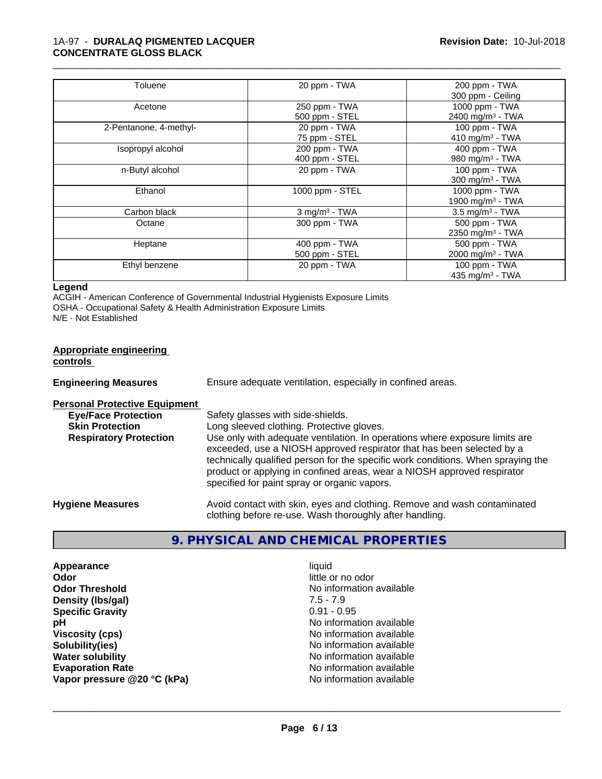| Toluene                | 20 ppm - TWA                | 200 ppm - TWA                 |
|------------------------|-----------------------------|-------------------------------|
|                        |                             | 300 ppm - Ceiling             |
| Acetone                | 250 ppm - TWA               | 1000 ppm - TWA                |
|                        | 500 ppm - STEL              | 2400 mg/m <sup>3</sup> - TWA  |
| 2-Pentanone, 4-methyl- | 20 ppm - TWA                | 100 ppm - TWA                 |
|                        | 75 ppm - STEL               | 410 mg/m $3$ - TWA            |
| Isopropyl alcohol      | 200 ppm - TWA               | 400 ppm - TWA                 |
|                        | 400 ppm - STEL              | 980 mg/m <sup>3</sup> - TWA   |
| n-Butyl alcohol        | 20 ppm - TWA                | 100 ppm - $TWA$               |
|                        |                             | 300 mg/m <sup>3</sup> - TWA   |
| Ethanol                | 1000 ppm - STEL             | 1000 ppm - TWA                |
|                        |                             | 1900 mg/m <sup>3</sup> - TWA  |
| Carbon black           | $3$ mg/m <sup>3</sup> - TWA | $3.5$ mg/m <sup>3</sup> - TWA |
| Octane                 | 300 ppm - TWA               | 500 ppm - TWA                 |
|                        |                             | 2350 mg/m <sup>3</sup> - TWA  |
| Heptane                | 400 ppm - TWA               | 500 ppm - TWA                 |
|                        | 500 ppm - STEL              | 2000 mg/m <sup>3</sup> - TWA  |
| Ethyl benzene          | 20 ppm - TWA                | 100 ppm - TWA                 |
|                        |                             | 435 mg/m <sup>3</sup> - TWA   |

#### **Legend**

ACGIH - American Conference of Governmental Industrial Hygienists Exposure Limits OSHA - Occupational Safety & Health Administration Exposure Limits N/E - Not Established

| <b>Appropriate engineering</b><br>controls |                                                                                                                                                                                                                                                                                                                                                                     |
|--------------------------------------------|---------------------------------------------------------------------------------------------------------------------------------------------------------------------------------------------------------------------------------------------------------------------------------------------------------------------------------------------------------------------|
| <b>Engineering Measures</b>                | Ensure adequate ventilation, especially in confined areas.                                                                                                                                                                                                                                                                                                          |
| <b>Personal Protective Equipment</b>       |                                                                                                                                                                                                                                                                                                                                                                     |
| <b>Eye/Face Protection</b>                 | Safety glasses with side-shields.                                                                                                                                                                                                                                                                                                                                   |
| <b>Skin Protection</b>                     | Long sleeved clothing. Protective gloves.                                                                                                                                                                                                                                                                                                                           |
| <b>Respiratory Protection</b>              | Use only with adequate ventilation. In operations where exposure limits are<br>exceeded, use a NIOSH approved respirator that has been selected by a<br>technically qualified person for the specific work conditions. When spraying the<br>product or applying in confined areas, wear a NIOSH approved respirator<br>specified for paint spray or organic vapors. |
| <b>Hygiene Measures</b>                    | Avoid contact with skin, eyes and clothing. Remove and wash contaminated<br>clothing before re-use. Wash thoroughly after handling.                                                                                                                                                                                                                                 |

# **9. PHYSICAL AND CHEMICAL PROPERTIES**

**Appearance** liquid **Odor** little or no odor **Odor Threshold No information available No information available Density (Ibs/gal)** 7.5 - 7.9<br> **Specific Gravity** 3.1 2.2 2.2 2.2 2.2 2.95 **Specific Gravity pH** No information available **Viscosity (cps)** No information available **Solubility(ies)**<br> **No information available**<br> **Water solubility**<br> **Water solubility Evaporation Rate Conservation Rate** No information available<br> **Vapor pressure @20 °C (kPa)** No information available **Vapor pressure @20 °C (kPa)** 

**No information available**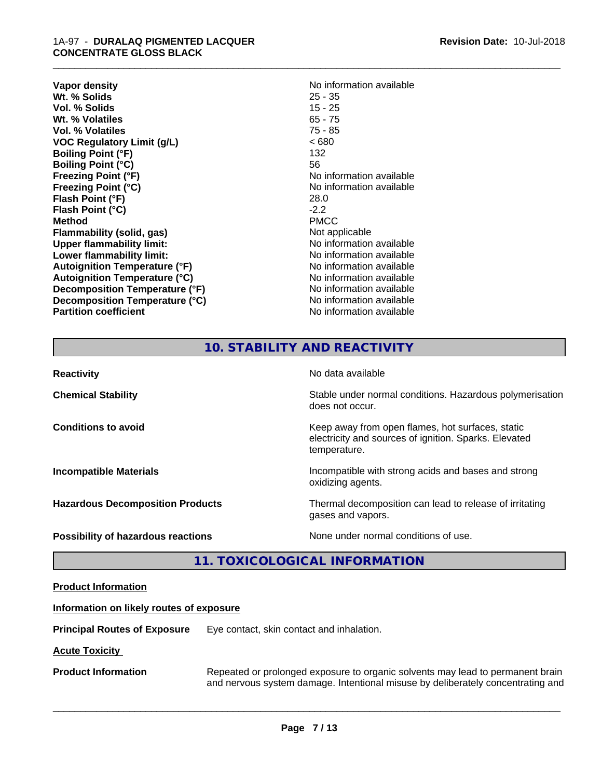| <b>Vapor density</b>                 | No information available |
|--------------------------------------|--------------------------|
| Wt. % Solids                         | $25 - 35$                |
| Vol. % Solids                        | $15 - 25$                |
| Wt. % Volatiles                      | $65 - 75$                |
| Vol. % Volatiles                     | $75 - 85$                |
| <b>VOC Regulatory Limit (g/L)</b>    | <680                     |
| <b>Boiling Point (°F)</b>            | 132                      |
| <b>Boiling Point (°C)</b>            | 56                       |
| <b>Freezing Point (°F)</b>           | No information available |
| <b>Freezing Point (°C)</b>           | No information available |
| Flash Point (°F)                     | 28.0                     |
| Flash Point (°C)                     | $-2.2$                   |
| <b>Method</b>                        | <b>PMCC</b>              |
| Flammability (solid, gas)            | Not applicable           |
| <b>Upper flammability limit:</b>     | No information available |
| Lower flammability limit:            | No information available |
| <b>Autoignition Temperature (°F)</b> | No information available |
| <b>Autoignition Temperature (°C)</b> | No information available |
| Decomposition Temperature (°F)       | No information available |
| Decomposition Temperature (°C)       | No information available |
| <b>Partition coefficient</b>         | No information available |

\_\_\_\_\_\_\_\_\_\_\_\_\_\_\_\_\_\_\_\_\_\_\_\_\_\_\_\_\_\_\_\_\_\_\_\_\_\_\_\_\_\_\_\_\_\_\_\_\_\_\_\_\_\_\_\_\_\_\_\_\_\_\_\_\_\_\_\_\_\_\_\_\_\_\_\_\_\_\_\_\_\_\_\_\_\_\_\_\_\_\_\_\_

# **10. STABILITY AND REACTIVITY**

| <b>Reactivity</b>                         | No data available                                                                                                         |
|-------------------------------------------|---------------------------------------------------------------------------------------------------------------------------|
| <b>Chemical Stability</b>                 | Stable under normal conditions. Hazardous polymerisation<br>does not occur.                                               |
| <b>Conditions to avoid</b>                | Keep away from open flames, hot surfaces, static<br>electricity and sources of ignition. Sparks. Elevated<br>temperature. |
| <b>Incompatible Materials</b>             | Incompatible with strong acids and bases and strong<br>oxidizing agents.                                                  |
| <b>Hazardous Decomposition Products</b>   | Thermal decomposition can lead to release of irritating<br>gases and vapors.                                              |
| <b>Possibility of hazardous reactions</b> | None under normal conditions of use.                                                                                      |

# **11. TOXICOLOGICAL INFORMATION**

| <b>Product Information</b>               |                                                                                                                                                                   |  |
|------------------------------------------|-------------------------------------------------------------------------------------------------------------------------------------------------------------------|--|
| Information on likely routes of exposure |                                                                                                                                                                   |  |
| <b>Principal Routes of Exposure</b>      | Eye contact, skin contact and inhalation.                                                                                                                         |  |
| <b>Acute Toxicity</b>                    |                                                                                                                                                                   |  |
| <b>Product Information</b>               | Repeated or prolonged exposure to organic solvents may lead to permanent brain<br>and nervous system damage. Intentional misuse by deliberately concentrating and |  |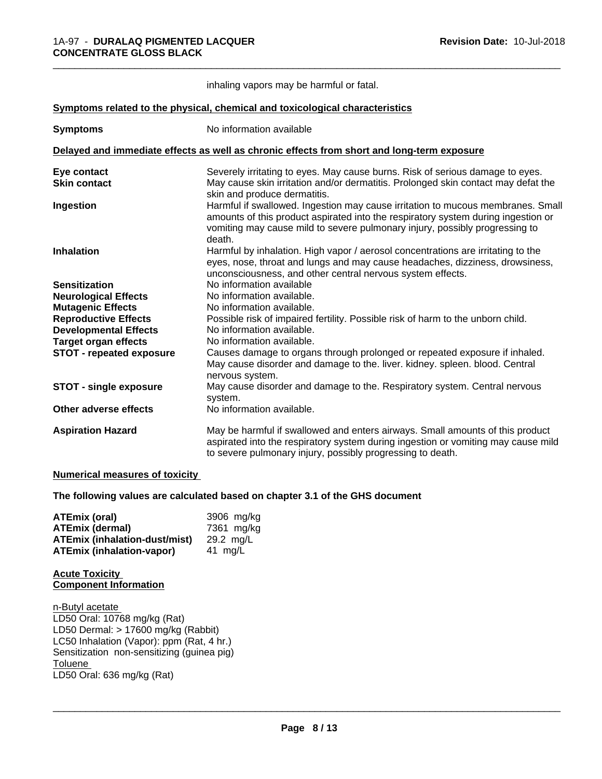|                                 | inhaling vapors may be harmful or fatal.                                                                                                                                                                                                                      |
|---------------------------------|---------------------------------------------------------------------------------------------------------------------------------------------------------------------------------------------------------------------------------------------------------------|
|                                 | Symptoms related to the physical, chemical and toxicological characteristics                                                                                                                                                                                  |
| <b>Symptoms</b>                 | No information available                                                                                                                                                                                                                                      |
|                                 | Delayed and immediate effects as well as chronic effects from short and long-term exposure                                                                                                                                                                    |
| Eye contact                     | Severely irritating to eyes. May cause burns. Risk of serious damage to eyes.                                                                                                                                                                                 |
| <b>Skin contact</b>             | May cause skin irritation and/or dermatitis. Prolonged skin contact may defat the<br>skin and produce dermatitis.                                                                                                                                             |
| Ingestion                       | Harmful if swallowed. Ingestion may cause irritation to mucous membranes. Small<br>amounts of this product aspirated into the respiratory system during ingestion or<br>vomiting may cause mild to severe pulmonary injury, possibly progressing to<br>death. |
| <b>Inhalation</b>               | Harmful by inhalation. High vapor / aerosol concentrations are irritating to the<br>eyes, nose, throat and lungs and may cause headaches, dizziness, drowsiness,<br>unconsciousness, and other central nervous system effects.                                |
| <b>Sensitization</b>            | No information available                                                                                                                                                                                                                                      |
| <b>Neurological Effects</b>     | No information available.                                                                                                                                                                                                                                     |
| <b>Mutagenic Effects</b>        | No information available.                                                                                                                                                                                                                                     |
| <b>Reproductive Effects</b>     | Possible risk of impaired fertility. Possible risk of harm to the unborn child.                                                                                                                                                                               |
| <b>Developmental Effects</b>    | No information available.                                                                                                                                                                                                                                     |
| <b>Target organ effects</b>     | No information available.                                                                                                                                                                                                                                     |
| <b>STOT - repeated exposure</b> | Causes damage to organs through prolonged or repeated exposure if inhaled.<br>May cause disorder and damage to the. liver. kidney. spleen. blood. Central<br>nervous system.                                                                                  |
| <b>STOT - single exposure</b>   | May cause disorder and damage to the. Respiratory system. Central nervous<br>system.                                                                                                                                                                          |
| Other adverse effects           | No information available.                                                                                                                                                                                                                                     |
| <b>Aspiration Hazard</b>        | May be harmful if swallowed and enters airways. Small amounts of this product<br>aspirated into the respiratory system during ingestion or vomiting may cause mild<br>to severe pulmonary injury, possibly progressing to death.                              |

#### **Numerical measures of toxicity**

#### **The following values are calculated based on chapter 3.1 of the GHS document**

| ATEmix (oral)                        | 3906 mg/kg |
|--------------------------------------|------------|
| ATEmix (dermal)                      | 7361 ma/ka |
| <b>ATEmix (inhalation-dust/mist)</b> | 29.2 ma/L  |
| <b>ATEmix (inhalation-vapor)</b>     | 41 ma/L    |

#### **Acute Toxicity Component Information**

n-Butyl acetate LD50 Oral: 10768 mg/kg (Rat) LD50 Dermal: > 17600 mg/kg (Rabbit) LC50 Inhalation (Vapor): ppm (Rat, 4 hr.) Sensitization non-sensitizing (guinea pig)<br>Toluene Toluene \_\_\_\_\_\_\_\_\_\_\_\_\_\_\_\_\_\_\_\_\_\_\_\_\_\_\_\_\_\_\_\_\_\_\_\_\_\_\_\_\_\_\_\_\_\_\_\_\_\_\_\_\_\_\_\_\_\_\_\_\_\_\_\_\_\_\_\_\_\_\_\_\_\_\_\_\_\_\_\_\_\_\_\_\_\_\_\_\_\_\_\_\_ LD50 Oral: 636 mg/kg (Rat)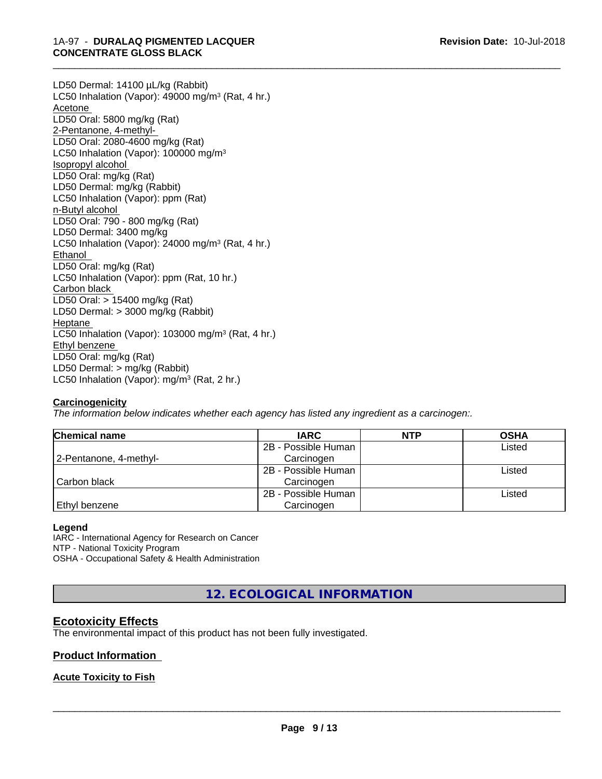LD50 Dermal: 14100 µL/kg (Rabbit) LC50 Inhalation (Vapor): 49000 mg/m<sup>3</sup> (Rat, 4 hr.) Acetone LD50 Oral: 5800 mg/kg (Rat) 2-Pentanone, 4-methyl-LD50 Oral: 2080-4600 mg/kg (Rat) LC50 Inhalation (Vapor): 100000 mg/m<sup>3</sup> Isopropyl alcohol LD50 Oral: mg/kg (Rat) LD50 Dermal: mg/kg (Rabbit) LC50 Inhalation (Vapor): ppm (Rat) n-Butyl alcohol LD50 Oral: 790 - 800 mg/kg (Rat) LD50 Dermal: 3400 mg/kg LC50 Inhalation (Vapor): 24000 mg/m<sup>3</sup> (Rat, 4 hr.) Ethanol LD50 Oral: mg/kg (Rat) LC50 Inhalation (Vapor): ppm (Rat, 10 hr.) Carbon black LD50 Oral: > 15400 mg/kg (Rat) LD50 Dermal: > 3000 mg/kg (Rabbit) Heptane LC50 Inhalation (Vapor): 103000 mg/m<sup>3</sup> (Rat, 4 hr.) Ethyl benzene LD50 Oral: mg/kg (Rat) LD50 Dermal: > mg/kg (Rabbit) LC50 Inhalation (Vapor): mg/m<sup>3</sup> (Rat, 2 hr.)

#### **Carcinogenicity**

*The information below indicateswhether each agency has listed any ingredient as a carcinogen:.*

| <b>Chemical name</b>   | <b>IARC</b>         | <b>NTP</b> | <b>OSHA</b> |
|------------------------|---------------------|------------|-------------|
|                        | 2B - Possible Human |            | Listed      |
| 2-Pentanone, 4-methyl- | Carcinogen          |            |             |
|                        | 2B - Possible Human |            | Listed      |
| Carbon black           | Carcinogen          |            |             |
|                        | 2B - Possible Human |            | Listed      |
| Ethyl benzene          | Carcinogen          |            |             |

\_\_\_\_\_\_\_\_\_\_\_\_\_\_\_\_\_\_\_\_\_\_\_\_\_\_\_\_\_\_\_\_\_\_\_\_\_\_\_\_\_\_\_\_\_\_\_\_\_\_\_\_\_\_\_\_\_\_\_\_\_\_\_\_\_\_\_\_\_\_\_\_\_\_\_\_\_\_\_\_\_\_\_\_\_\_\_\_\_\_\_\_\_

#### **Legend**

IARC - International Agency for Research on Cancer NTP - National Toxicity Program OSHA - Occupational Safety & Health Administration

**12. ECOLOGICAL INFORMATION**

# **Ecotoxicity Effects**

The environmental impact of this product has not been fully investigated.

#### **Product Information**

#### **Acute Toxicity to Fish**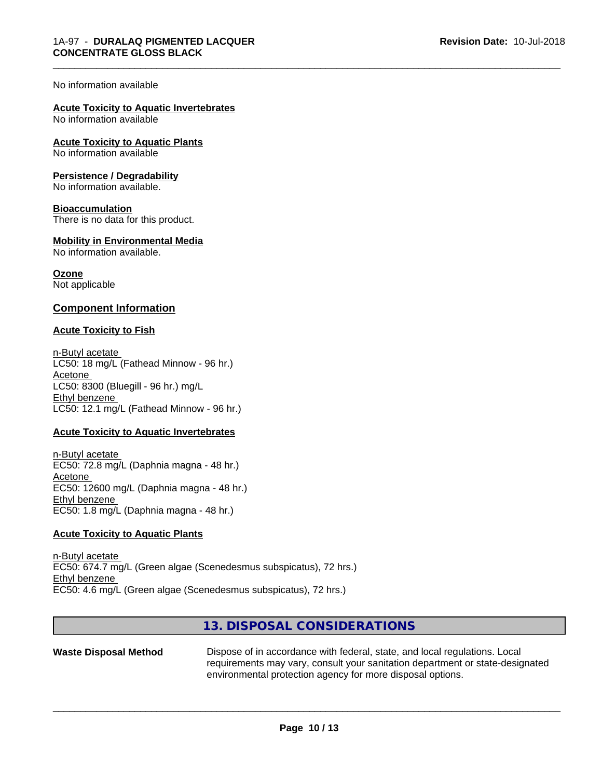#### No information available

# **Acute Toxicity to Aquatic Invertebrates**

No information available

# **Acute Toxicity to Aquatic Plants**

No information available

#### **Persistence / Degradability**

No information available.

#### **Bioaccumulation**

There is no data for this product.

#### **Mobility in Environmental Media**

No information available.

#### **Ozone**

Not applicable

#### **Component Information**

#### **Acute Toxicity to Fish**

n-Butyl acetate LC50: 18 mg/L (Fathead Minnow - 96 hr.) Acetone LC50: 8300 (Bluegill - 96 hr.) mg/L Ethyl benzene LC50: 12.1 mg/L (Fathead Minnow - 96 hr.)

#### **Acute Toxicity to Aquatic Invertebrates**

n-Butyl acetate EC50: 72.8 mg/L (Daphnia magna - 48 hr.) Acetone EC50: 12600 mg/L (Daphnia magna - 48 hr.) Ethyl benzene EC50: 1.8 mg/L (Daphnia magna - 48 hr.)

#### **Acute Toxicity to Aquatic Plants**

n-Butyl acetate EC50: 674.7 mg/L (Green algae (Scenedesmus subspicatus), 72 hrs.) Ethyl benzene EC50: 4.6 mg/L (Green algae (Scenedesmus subspicatus), 72 hrs.)

# **13. DISPOSAL CONSIDERATIONS**

**Waste Disposal Method** Dispose of in accordance with federal, state, and local regulations. Local requirements may vary, consult your sanitation department or state-designated environmental protection agency for more disposal options.

 $\overline{\phantom{a}}$  ,  $\overline{\phantom{a}}$  ,  $\overline{\phantom{a}}$  ,  $\overline{\phantom{a}}$  ,  $\overline{\phantom{a}}$  ,  $\overline{\phantom{a}}$  ,  $\overline{\phantom{a}}$  ,  $\overline{\phantom{a}}$  ,  $\overline{\phantom{a}}$  ,  $\overline{\phantom{a}}$  ,  $\overline{\phantom{a}}$  ,  $\overline{\phantom{a}}$  ,  $\overline{\phantom{a}}$  ,  $\overline{\phantom{a}}$  ,  $\overline{\phantom{a}}$  ,  $\overline{\phantom{a}}$ 

\_\_\_\_\_\_\_\_\_\_\_\_\_\_\_\_\_\_\_\_\_\_\_\_\_\_\_\_\_\_\_\_\_\_\_\_\_\_\_\_\_\_\_\_\_\_\_\_\_\_\_\_\_\_\_\_\_\_\_\_\_\_\_\_\_\_\_\_\_\_\_\_\_\_\_\_\_\_\_\_\_\_\_\_\_\_\_\_\_\_\_\_\_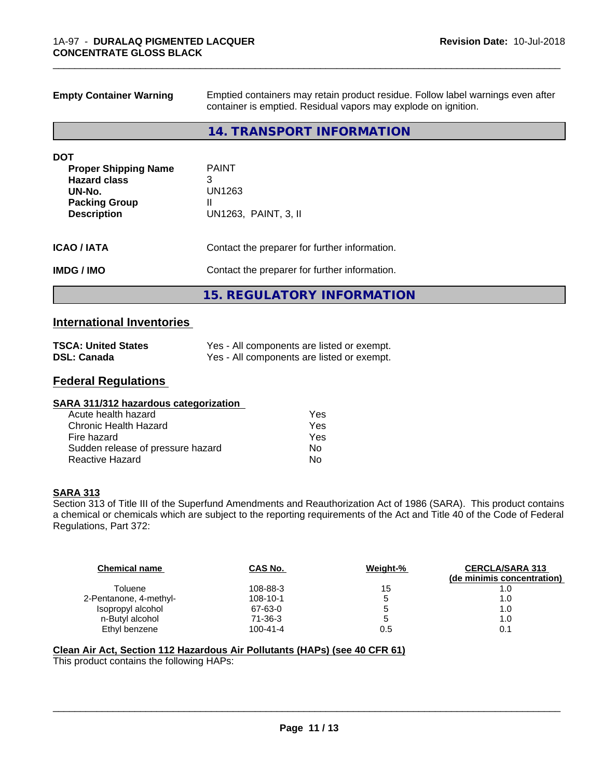| <b>Empty Container Warning</b>             | Emptied containers may retain product residue. Follow label warnings even after<br>container is emptied. Residual vapors may explode on ignition. |  |
|--------------------------------------------|---------------------------------------------------------------------------------------------------------------------------------------------------|--|
|                                            | 14. TRANSPORT INFORMATION                                                                                                                         |  |
| <b>DOT</b>                                 |                                                                                                                                                   |  |
| <b>Proper Shipping Name</b>                | <b>PAINT</b>                                                                                                                                      |  |
| <b>Hazard class</b>                        | 3                                                                                                                                                 |  |
| UN-No.                                     | UN1263<br>II                                                                                                                                      |  |
| <b>Packing Group</b><br><b>Description</b> | UN1263, PAINT, 3, II                                                                                                                              |  |
| <b>ICAO/IATA</b>                           | Contact the preparer for further information.                                                                                                     |  |
| <b>IMDG/IMO</b>                            | Contact the preparer for further information.                                                                                                     |  |
|                                            | <b>15. REGULATORY INFORMATION</b>                                                                                                                 |  |

# **International Inventories**

| <b>TSCA: United States</b> | Yes - All components are listed or exempt. |
|----------------------------|--------------------------------------------|
| <b>DSL: Canada</b>         | Yes - All components are listed or exempt. |

# **Federal Regulations**

| Yes |  |
|-----|--|
| Yes |  |
| Yes |  |
| No  |  |
| No  |  |
|     |  |

#### **SARA 313**

Section 313 of Title III of the Superfund Amendments and Reauthorization Act of 1986 (SARA). This product contains a chemical or chemicals which are subject to the reporting requirements of the Act and Title 40 of the Code of Federal Regulations, Part 372:

| <b>Chemical name</b>   | CAS No.        | Weight-% | <b>CERCLA/SARA 313</b><br>(de minimis concentration) |
|------------------------|----------------|----------|------------------------------------------------------|
| Toluene                | 108-88-3       | 15       |                                                      |
| 2-Pentanone, 4-methyl- | 108-10-1       | 5        | 1.0                                                  |
| Isopropyl alcohol      | 67-63-0        | 5        | 1.0                                                  |
| n-Butyl alcohol        | $71-36-3$      | '5       | 1.0                                                  |
| Ethyl benzene          | $100 - 41 - 4$ | 0.5      | 0.1                                                  |

#### **Clean Air Act,Section 112 Hazardous Air Pollutants (HAPs) (see 40 CFR 61)**

This product contains the following HAPs: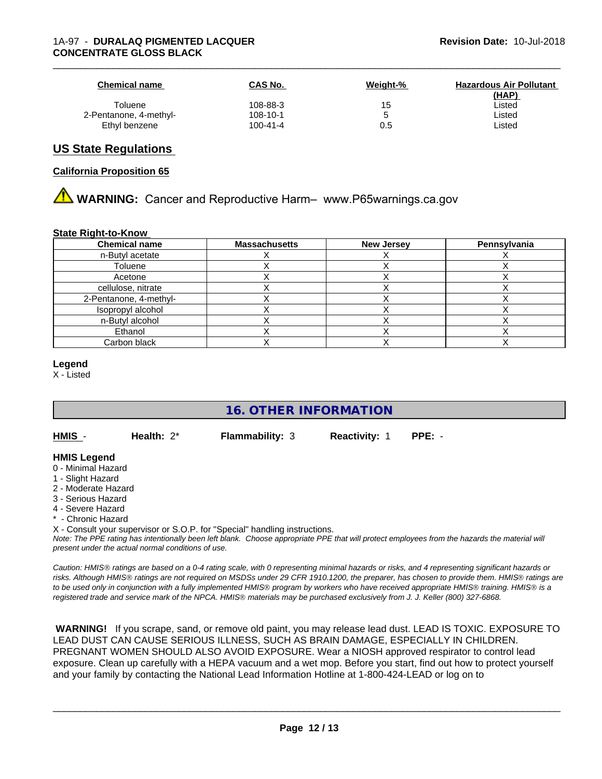| <b>Chemical name</b>   | CAS No.        | Weight-% | <b>Hazardous Air Pollutant</b><br>(HAP) |
|------------------------|----------------|----------|-----------------------------------------|
| Toluene                | 108-88-3       | 15       | Listed                                  |
| 2-Pentanone, 4-methyl- | 108-10-1       |          | Listed                                  |
| Ethyl benzene          | $100 - 41 - 4$ | 0.5      | ∟isted                                  |

### **US State Regulations**

#### **California Proposition 65**

# **AN** WARNING: Cancer and Reproductive Harm– www.P65warnings.ca.gov

#### **State Right-to-Know**

| <b>Chemical name</b>   | <b>Massachusetts</b> | <b>New Jersey</b> | Pennsylvania |
|------------------------|----------------------|-------------------|--------------|
| n-Butyl acetate        |                      |                   |              |
| Toluene                |                      |                   |              |
| Acetone                |                      |                   |              |
| cellulose, nitrate     |                      |                   |              |
| 2-Pentanone, 4-methyl- |                      |                   |              |
| Isopropyl alcohol      |                      |                   |              |
| n-Butyl alcohol        |                      |                   |              |
| Ethanol                |                      |                   |              |
| Carbon black           |                      |                   |              |

#### **Legend**

X - Listed

# **16. OTHER INFORMATION**

**HMIS** - **Health:** 2\* **Flammability:** 3 **Reactivity:** 1 **PPE:** -

**HMIS Legend**

- 0 Minimal Hazard
- 1 Slight Hazard
- 2 Moderate Hazard
- 3 Serious Hazard
- 4 Severe Hazard
- \* Chronic Hazard

X - Consult your supervisor or S.O.P. for "Special" handling instructions.

*Note: The PPE rating has intentionally been left blank. Choose appropriate PPE that will protect employees from the hazards the material will present under the actual normal conditions of use.*

*Caution: HMISÒ ratings are based on a 0-4 rating scale, with 0 representing minimal hazards or risks, and 4 representing significant hazards or risks. Although HMISÒ ratings are not required on MSDSs under 29 CFR 1910.1200, the preparer, has chosen to provide them. HMISÒ ratings are to be used only in conjunction with a fully implemented HMISÒ program by workers who have received appropriate HMISÒ training. HMISÒ is a registered trade and service mark of the NPCA. HMISÒ materials may be purchased exclusively from J. J. Keller (800) 327-6868.*

 **WARNING!** If you scrape, sand, or remove old paint, you may release lead dust. LEAD IS TOXIC. EXPOSURE TO LEAD DUST CAN CAUSE SERIOUS ILLNESS, SUCH AS BRAIN DAMAGE, ESPECIALLY IN CHILDREN. PREGNANT WOMEN SHOULD ALSO AVOID EXPOSURE. Wear a NIOSH approved respirator to control lead exposure. Clean up carefully with a HEPA vacuum and a wet mop. Before you start, find out how to protect yourself and your family by contacting the National Lead Information Hotline at 1-800-424-LEAD or log on to